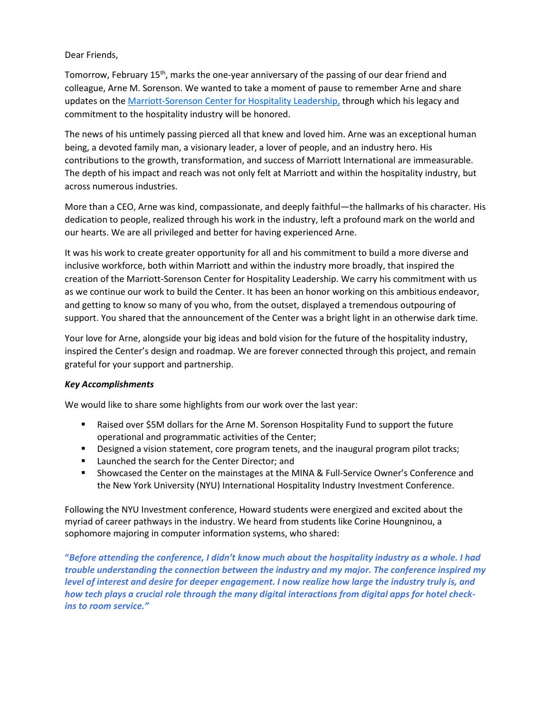## Dear Friends,

Tomorrow, February 15<sup>th</sup>, marks the one-year anniversary of the passing of our dear friend and colleague, Arne M. Sorenson. We wanted to take a moment of pause to remember Arne and share updates on the Marriott-Sorenson Center for Hospitality Leadership, through which his legacy and commitment to the hospitality industry will be honored.

The news of his untimely passing pierced all that knew and loved him. Arne was an exceptional human being, a devoted family man, a visionary leader, a lover of people, and an industry hero. His contributions to the growth, transformation, and success of Marriott International are immeasurable. The depth of his impact and reach was not only felt at Marriott and within the hospitality industry, but across numerous industries.

More than a CEO, Arne was kind, compassionate, and deeply faithful—the hallmarks of his character. His dedication to people, realized through his work in the industry, left a profound mark on the world and our hearts. We are all privileged and better for having experienced Arne.

It was his work to create greater opportunity for all and his commitment to build a more diverse and inclusive workforce, both within Marriott and within the industry more broadly, that inspired the creation of the Marriott-Sorenson Center for Hospitality Leadership. We carry his commitment with us as we continue our work to build the Center. It has been an honor working on this ambitious endeavor, and getting to know so many of you who, from the outset, displayed a tremendous outpouring of support. You shared that the announcement of the Center was a bright light in an otherwise dark time.

Your love for Arne, alongside your big ideas and bold vision for the future of the hospitality industry, inspired the Center's design and roadmap. We are forever connected through this project, and remain grateful for your support and partnership.

## *Key Accomplishments*

We would like to share some highlights from our work over the last year:

- Raised over \$5M dollars for the Arne M. Sorenson Hospitality Fund to support the future operational and programmatic activities of the Center;
- **■** Designed a vision statement, core program tenets, and the inaugural program pilot tracks;
- Launched the search for the Center Director; and
- Showcased the Center on the mainstages at the MINA & Full-Service Owner's Conference and the New York University (NYU) International Hospitality Industry Investment Conference.

Following the NYU Investment conference, Howard students were energized and excited about the myriad of career pathways in the industry. We heard from students like Corine Houngninou, a sophomore majoring in computer information systems, who shared:

**"***Before attending the conference, I didn't know much about the hospitality industry as a whole. I had trouble understanding the connection between the industry and my major. The conference inspired my level of interest and desire for deeper engagement. I now realize how large the industry truly is, and how tech plays a crucial role through the many digital interactions from digital apps for hotel checkins to room service."*